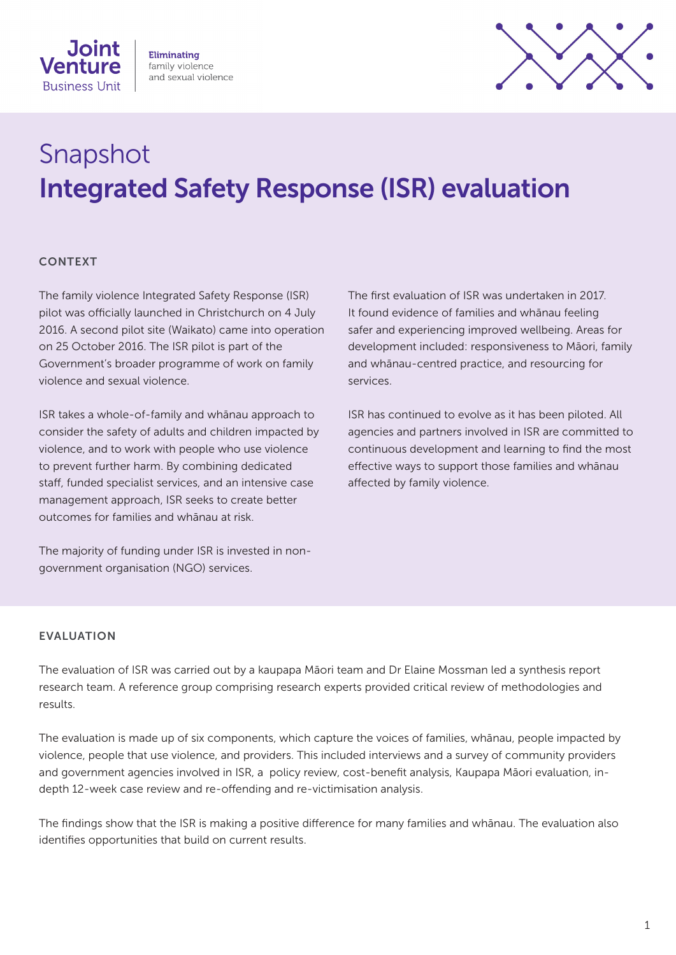

**Eliminating** family violence and sexual violence



# Snapshot Integrated Safety Response (ISR) evaluation

## **CONTEXT**

The family violence Integrated Safety Response (ISR) pilot was officially launched in Christchurch on 4 July 2016. A second pilot site (Waikato) came into operation on 25 October 2016. The ISR pilot is part of the Government's broader programme of work on family violence and sexual violence.

ISR takes a whole-of-family and whānau approach to consider the safety of adults and children impacted by violence, and to work with people who use violence to prevent further harm. By combining dedicated staff, funded specialist services, and an intensive case management approach, ISR seeks to create better outcomes for families and whānau at risk.

The majority of funding under ISR is invested in nongovernment organisation (NGO) services.

The first evaluation of ISR was undertaken in 2017. It found evidence of families and whānau feeling safer and experiencing improved wellbeing. Areas for development included: responsiveness to Māori, family and whānau-centred practice, and resourcing for services.

ISR has continued to evolve as it has been piloted. All agencies and partners involved in ISR are committed to continuous development and learning to find the most effective ways to support those families and whānau affected by family violence.

#### EVALUATION

The evaluation of ISR was carried out by a kaupapa Māori team and Dr Elaine Mossman led a synthesis report research team. A reference group comprising research experts provided critical review of methodologies and results.

The evaluation is made up of six components, which capture the voices of families, whānau, people impacted by violence, people that use violence, and providers. This included interviews and a survey of community providers and government agencies involved in ISR, a policy review, cost-benefit analysis, Kaupapa Māori evaluation, indepth 12-week case review and re-offending and re-victimisation analysis.

The findings show that the ISR is making a positive difference for many families and whānau. The evaluation also identifies opportunities that build on current results.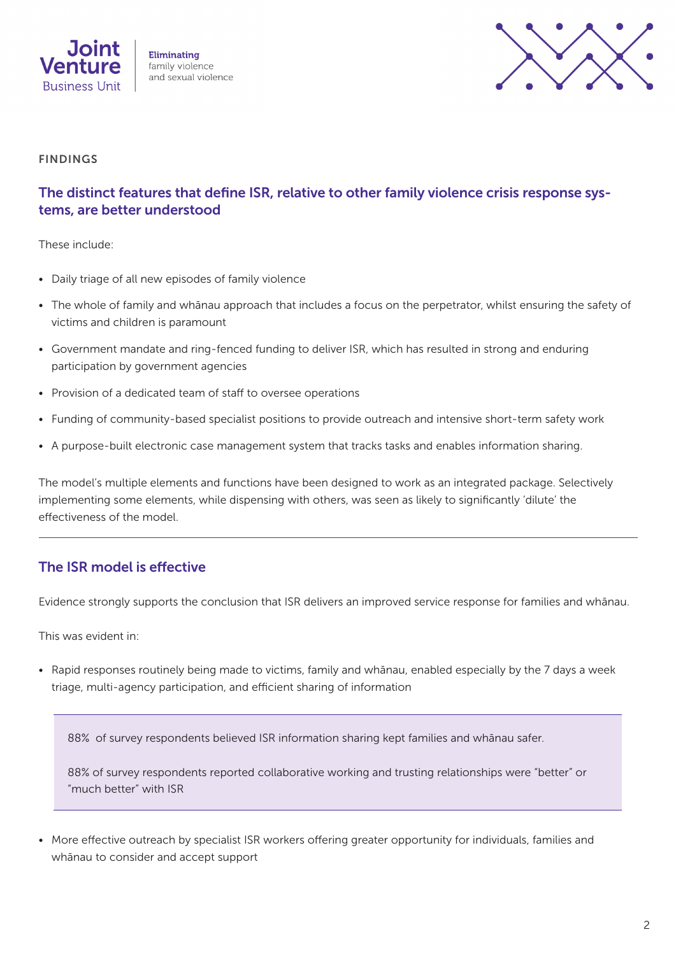



#### FINDINGS

# The distinct features that define ISR, relative to other family violence crisis response systems, are better understood

These include:

- Daily triage of all new episodes of family violence
- The whole of family and whānau approach that includes a focus on the perpetrator, whilst ensuring the safety of victims and children is paramount
- Government mandate and ring-fenced funding to deliver ISR, which has resulted in strong and enduring participation by government agencies
- Provision of a dedicated team of staff to oversee operations
- Funding of community-based specialist positions to provide outreach and intensive short-term safety work
- A purpose-built electronic case management system that tracks tasks and enables information sharing.

The model's multiple elements and functions have been designed to work as an integrated package. Selectively implementing some elements, while dispensing with others, was seen as likely to significantly 'dilute' the effectiveness of the model.

## The ISR model is effective

Evidence strongly supports the conclusion that ISR delivers an improved service response for families and whānau.

This was evident in:

• Rapid responses routinely being made to victims, family and whānau, enabled especially by the 7 days a week triage, multi-agency participation, and efficient sharing of information

88% of survey respondents believed ISR information sharing kept families and whānau safer.

88% of survey respondents reported collaborative working and trusting relationships were "better" or "much better" with ISR

• More effective outreach by specialist ISR workers offering greater opportunity for individuals, families and whānau to consider and accept support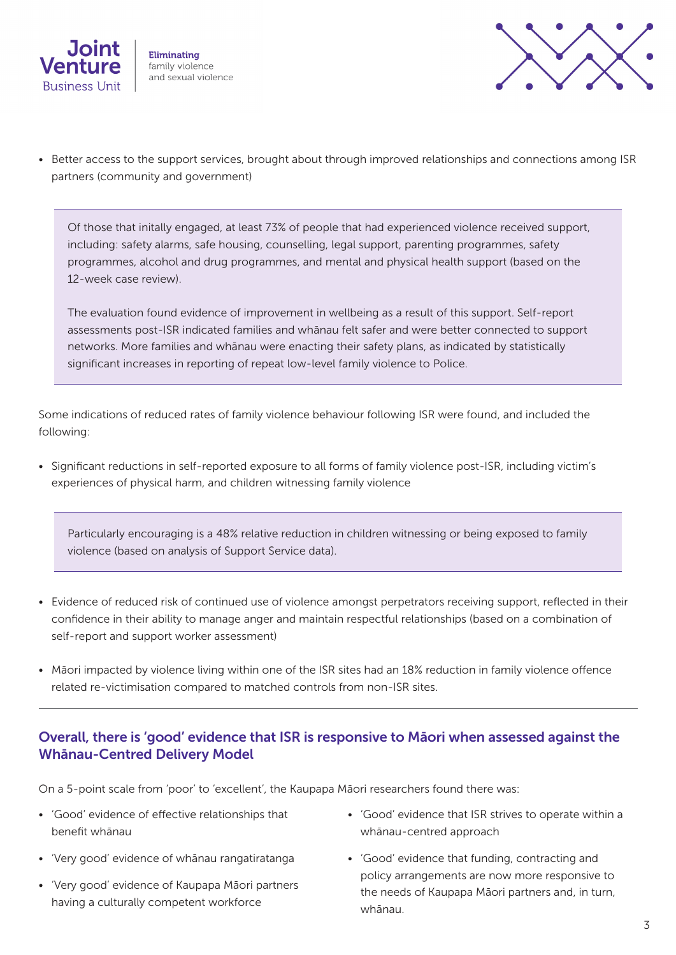



• Better access to the support services, brought about through improved relationships and connections among ISR partners (community and government)

Of those that initally engaged, at least 73% of people that had experienced violence received support, including: safety alarms, safe housing, counselling, legal support, parenting programmes, safety programmes, alcohol and drug programmes, and mental and physical health support (based on the 12-week case review).

The evaluation found evidence of improvement in wellbeing as a result of this support. Self-report assessments post-ISR indicated families and whānau felt safer and were better connected to support networks. More families and whānau were enacting their safety plans, as indicated by statistically significant increases in reporting of repeat low-level family violence to Police.

Some indications of reduced rates of family violence behaviour following ISR were found, and included the following:

• Significant reductions in self-reported exposure to all forms of family violence post-ISR, including victim's experiences of physical harm, and children witnessing family violence

Particularly encouraging is a 48% relative reduction in children witnessing or being exposed to family violence (based on analysis of Support Service data).

- Evidence of reduced risk of continued use of violence amongst perpetrators receiving support, reflected in their confidence in their ability to manage anger and maintain respectful relationships (based on a combination of self-report and support worker assessment)
- Māori impacted by violence living within one of the ISR sites had an 18% reduction in family violence offence related re-victimisation compared to matched controls from non-ISR sites.

# Overall, there is 'good' evidence that ISR is responsive to Māori when assessed against the Whānau-Centred Delivery Model

On a 5-point scale from 'poor' to 'excellent', the Kaupapa Māori researchers found there was:

- 'Good' evidence of effective relationships that benefit whānau
- 'Very good' evidence of whānau rangatiratanga
- 'Very good' evidence of Kaupapa Māori partners having a culturally competent workforce
- 'Good' evidence that ISR strives to operate within a whānau-centred approach
- 'Good' evidence that funding, contracting and policy arrangements are now more responsive to the needs of Kaupapa Māori partners and, in turn, whānau.